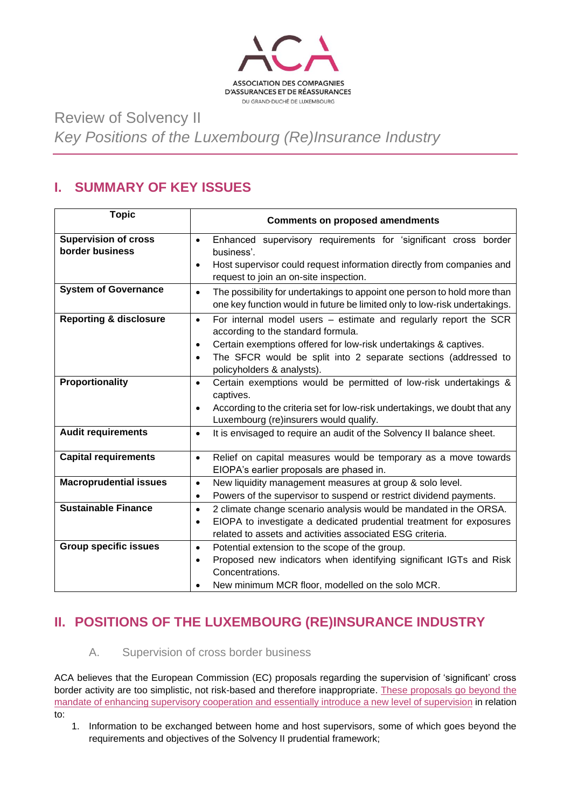

Review of Solvency II *Key Positions of the Luxembourg (Re)Insurance Industry*

# **I. SUMMARY OF KEY ISSUES**

| <b>Topic</b>                                   | <b>Comments on proposed amendments</b>                                                                                                                                           |
|------------------------------------------------|----------------------------------------------------------------------------------------------------------------------------------------------------------------------------------|
| <b>Supervision of cross</b><br>border business | Enhanced supervisory requirements for 'significant cross border<br>$\bullet$<br>business'.<br>Host supervisor could request information directly from companies and<br>$\bullet$ |
|                                                | request to join an on-site inspection.                                                                                                                                           |
| <b>System of Governance</b>                    | The possibility for undertakings to appoint one person to hold more than<br>$\bullet$<br>one key function would in future be limited only to low-risk undertakings.              |
| <b>Reporting &amp; disclosure</b>              | For internal model users – estimate and regularly report the SCR<br>$\bullet$<br>according to the standard formula.                                                              |
|                                                | Certain exemptions offered for low-risk undertakings & captives.<br>$\bullet$                                                                                                    |
|                                                | The SFCR would be split into 2 separate sections (addressed to<br>policyholders & analysts).                                                                                     |
| Proportionality                                | Certain exemptions would be permitted of low-risk undertakings &<br>$\bullet$                                                                                                    |
|                                                | captives.                                                                                                                                                                        |
|                                                | According to the criteria set for low-risk undertakings, we doubt that any                                                                                                       |
|                                                | Luxembourg (re)insurers would qualify.                                                                                                                                           |
| <b>Audit requirements</b>                      | It is envisaged to require an audit of the Solvency II balance sheet.<br>$\bullet$                                                                                               |
| <b>Capital requirements</b>                    | Relief on capital measures would be temporary as a move towards<br>$\bullet$                                                                                                     |
|                                                | EIOPA's earlier proposals are phased in.                                                                                                                                         |
| <b>Macroprudential issues</b>                  | New liquidity management measures at group & solo level.<br>$\bullet$                                                                                                            |
|                                                | Powers of the supervisor to suspend or restrict dividend payments.<br>$\bullet$                                                                                                  |
| <b>Sustainable Finance</b>                     | 2 climate change scenario analysis would be mandated in the ORSA.<br>$\bullet$                                                                                                   |
|                                                | EIOPA to investigate a dedicated prudential treatment for exposures<br>$\bullet$                                                                                                 |
|                                                | related to assets and activities associated ESG criteria.                                                                                                                        |
| <b>Group specific issues</b>                   | Potential extension to the scope of the group.<br>$\bullet$                                                                                                                      |
|                                                | Proposed new indicators when identifying significant IGTs and Risk<br>$\bullet$                                                                                                  |
|                                                | Concentrations.                                                                                                                                                                  |
|                                                | New minimum MCR floor, modelled on the solo MCR.                                                                                                                                 |

# **II. POSITIONS OF THE LUXEMBOURG (RE)INSURANCE INDUSTRY**

A. Supervision of cross border business

ACA believes that the European Commission (EC) proposals regarding the supervision of 'significant' cross border activity are too simplistic, not risk-based and therefore inappropriate. These proposals go beyond the mandate of enhancing supervisory cooperation and essentially introduce a new level of supervision in relation to:

1. Information to be exchanged between home and host supervisors, some of which goes beyond the requirements and objectives of the Solvency II prudential framework;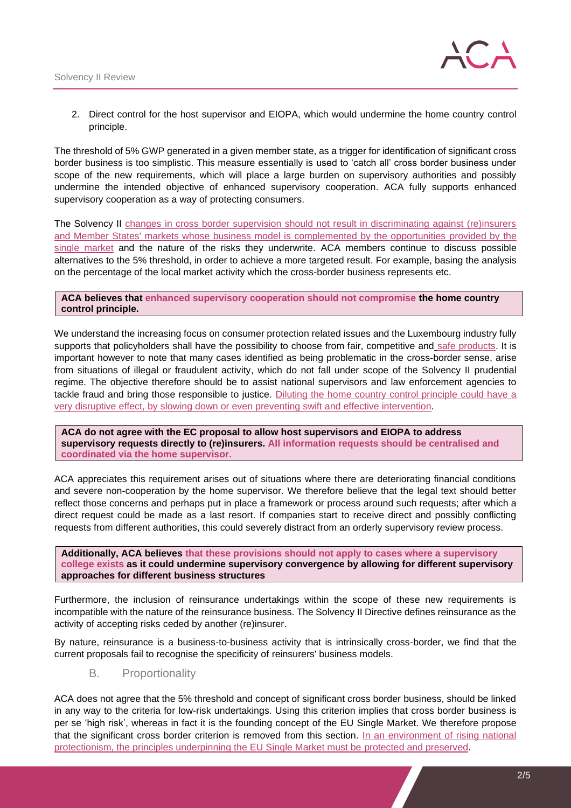2. Direct control for the host supervisor and EIOPA, which would undermine the home country control principle.

The threshold of 5% GWP generated in a given member state, as a trigger for identification of significant cross border business is too simplistic. This measure essentially is used to 'catch all' cross border business under scope of the new requirements, which will place a large burden on supervisory authorities and possibly undermine the intended objective of enhanced supervisory cooperation. ACA fully supports enhanced supervisory cooperation as a way of protecting consumers.

The Solvency II changes in cross border supervision should not result in discriminating against (re)insurers and Member States' markets whose business model is complemented by the opportunities provided by the single market and the nature of the risks they underwrite. ACA members continue to discuss possible alternatives to the 5% threshold, in order to achieve a more targeted result. For example, basing the analysis on the percentage of the local market activity which the cross-border business represents etc.

**ACA believes that enhanced supervisory cooperation should not compromise the home country control principle.**

We understand the increasing focus on consumer protection related issues and the Luxembourg industry fully supports that policyholders shall have the possibility to choose from fair, competitive and safe products. It is important however to note that many cases identified as being problematic in the cross-border sense, arise from situations of illegal or fraudulent activity, which do not fall under scope of the Solvency II prudential regime. The objective therefore should be to assist national supervisors and law enforcement agencies to tackle fraud and bring those responsible to justice. Diluting the home country control principle could have a very disruptive effect, by slowing down or even preventing swift and effective intervention.

**ACA do not agree with the EC proposal to allow host supervisors and EIOPA to address supervisory requests directly to (re)insurers. All information requests should be centralised and coordinated via the home supervisor.**

ACA appreciates this requirement arises out of situations where there are deteriorating financial conditions and severe non-cooperation by the home supervisor. We therefore believe that the legal text should better reflect those concerns and perhaps put in place a framework or process around such requests; after which a direct request could be made as a last resort. If companies start to receive direct and possibly conflicting requests from different authorities, this could severely distract from an orderly supervisory review process.

**Additionally, ACA believes that these provisions should not apply to cases where a supervisory college exists as it could undermine supervisory convergence by allowing for different supervisory approaches for different business structures**

Furthermore, the inclusion of reinsurance undertakings within the scope of these new requirements is incompatible with the nature of the reinsurance business. The Solvency II Directive defines reinsurance as the activity of accepting risks ceded by another (re)insurer.

By nature, reinsurance is a business-to-business activity that is intrinsically cross-border, we find that the current proposals fail to recognise the specificity of reinsurers' business models.

B. Proportionality

ACA does not agree that the 5% threshold and concept of significant cross border business, should be linked in any way to the criteria for low-risk undertakings. Using this criterion implies that cross border business is per se 'high risk', whereas in fact it is the founding concept of the EU Single Market. We therefore propose that the significant cross border criterion is removed from this section. In an environment of rising national protectionism, the principles underpinning the EU Single Market must be protected and preserved.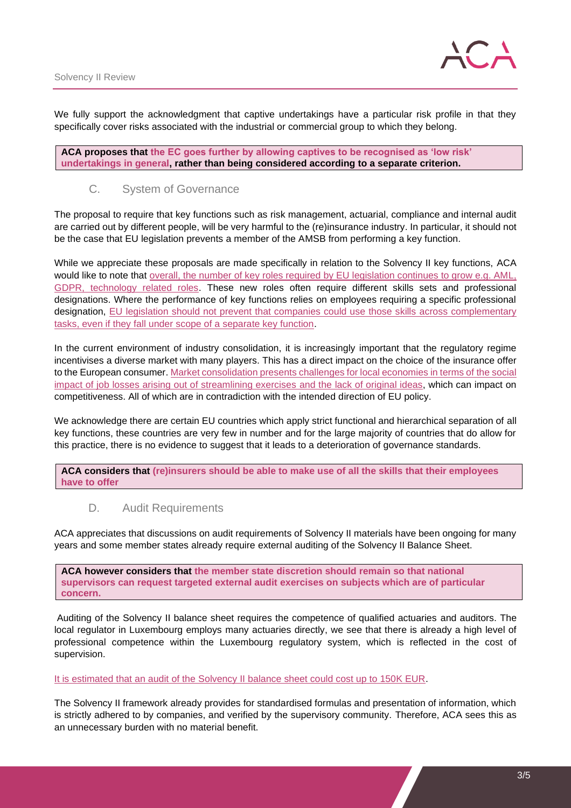

We fully support the acknowledgment that captive undertakings have a particular risk profile in that they specifically cover risks associated with the industrial or commercial group to which they belong.

**ACA proposes that the EC goes further by allowing captives to be recognised as 'low risk' undertakings in general, rather than being considered according to a separate criterion.**

### C. System of Governance

The proposal to require that key functions such as risk management, actuarial, compliance and internal audit are carried out by different people, will be very harmful to the (re)insurance industry. In particular, it should not be the case that EU legislation prevents a member of the AMSB from performing a key function.

While we appreciate these proposals are made specifically in relation to the Solvency II key functions, ACA would like to note that overall, the number of key roles required by EU legislation continues to grow e.g. AML, GDPR, technology related roles. These new roles often require different skills sets and professional designations. Where the performance of key functions relies on employees requiring a specific professional designation, EU legislation should not prevent that companies could use those skills across complementary tasks, even if they fall under scope of a separate key function.

In the current environment of industry consolidation, it is increasingly important that the regulatory regime incentivises a diverse market with many players. This has a direct impact on the choice of the insurance offer to the European consumer. Market consolidation presents challenges for local economies in terms of the social impact of job losses arising out of streamlining exercises and the lack of original ideas, which can impact on competitiveness. All of which are in contradiction with the intended direction of EU policy.

We acknowledge there are certain EU countries which apply strict functional and hierarchical separation of all key functions, these countries are very few in number and for the large majority of countries that do allow for this practice, there is no evidence to suggest that it leads to a deterioration of governance standards.

**ACA considers that (re)insurers should be able to make use of all the skills that their employees have to offer**

## D. Audit Requirements

ACA appreciates that discussions on audit requirements of Solvency II materials have been ongoing for many years and some member states already require external auditing of the Solvency II Balance Sheet.

**ACA however considers that the member state discretion should remain so that national supervisors can request targeted external audit exercises on subjects which are of particular concern.**

Auditing of the Solvency II balance sheet requires the competence of qualified actuaries and auditors. The local regulator in Luxembourg employs many actuaries directly, we see that there is already a high level of professional competence within the Luxembourg regulatory system, which is reflected in the cost of supervision.

#### It is estimated that an audit of the Solvency II balance sheet could cost up to 150K EUR.

The Solvency II framework already provides for standardised formulas and presentation of information, which is strictly adhered to by companies, and verified by the supervisory community. Therefore, ACA sees this as an unnecessary burden with no material benefit.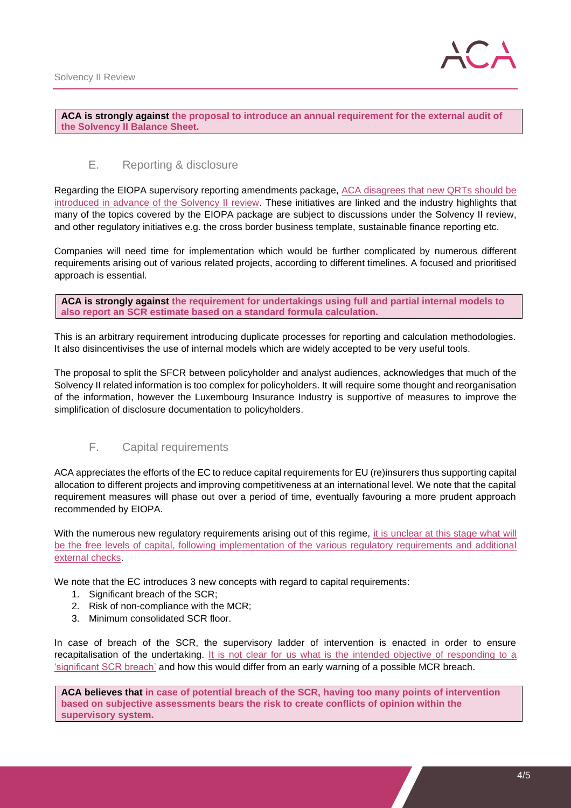

**ACA is strongly against the proposal to introduce an annual requirement for the external audit of the Solvency II Balance Sheet.**

## E. Reporting & disclosure

Regarding the EIOPA supervisory reporting amendments package, ACA disagrees that new QRTs should be introduced in advance of the Solvency II review. These initiatives are linked and the industry highlights that many of the topics covered by the EIOPA package are subject to discussions under the Solvency II review, and other regulatory initiatives e.g. the cross border business template, sustainable finance reporting etc.

Companies will need time for implementation which would be further complicated by numerous different requirements arising out of various related projects, according to different timelines. A focused and prioritised approach is essential.

**ACA is strongly against the requirement for undertakings using full and partial internal models to also report an SCR estimate based on a standard formula calculation.**

This is an arbitrary requirement introducing duplicate processes for reporting and calculation methodologies. It also disincentivises the use of internal models which are widely accepted to be very useful tools.

The proposal to split the SFCR between policyholder and analyst audiences, acknowledges that much of the Solvency II related information is too complex for policyholders. It will require some thought and reorganisation of the information, however the Luxembourg Insurance Industry is supportive of measures to improve the simplification of disclosure documentation to policyholders.

### F. Capital requirements

ACA appreciates the efforts of the EC to reduce capital requirements for EU (re)insurers thus supporting capital allocation to different projects and improving competitiveness at an international level. We note that the capital requirement measures will phase out over a period of time, eventually favouring a more prudent approach recommended by EIOPA.

With the numerous new regulatory requirements arising out of this regime, it is unclear at this stage what will be the free levels of capital, following implementation of the various regulatory requirements and additional external checks.

We note that the EC introduces 3 new concepts with regard to capital requirements:

- 1. Significant breach of the SCR;
- 2. Risk of non-compliance with the MCR;
- 3. Minimum consolidated SCR floor.

In case of breach of the SCR, the supervisory ladder of intervention is enacted in order to ensure recapitalisation of the undertaking. It is not clear for us what is the intended objective of responding to a 'significant SCR breach' and how this would differ from an early warning of a possible MCR breach.

**ACA believes that in case of potential breach of the SCR, having too many points of intervention based on subjective assessments bears the risk to create conflicts of opinion within the supervisory system.**